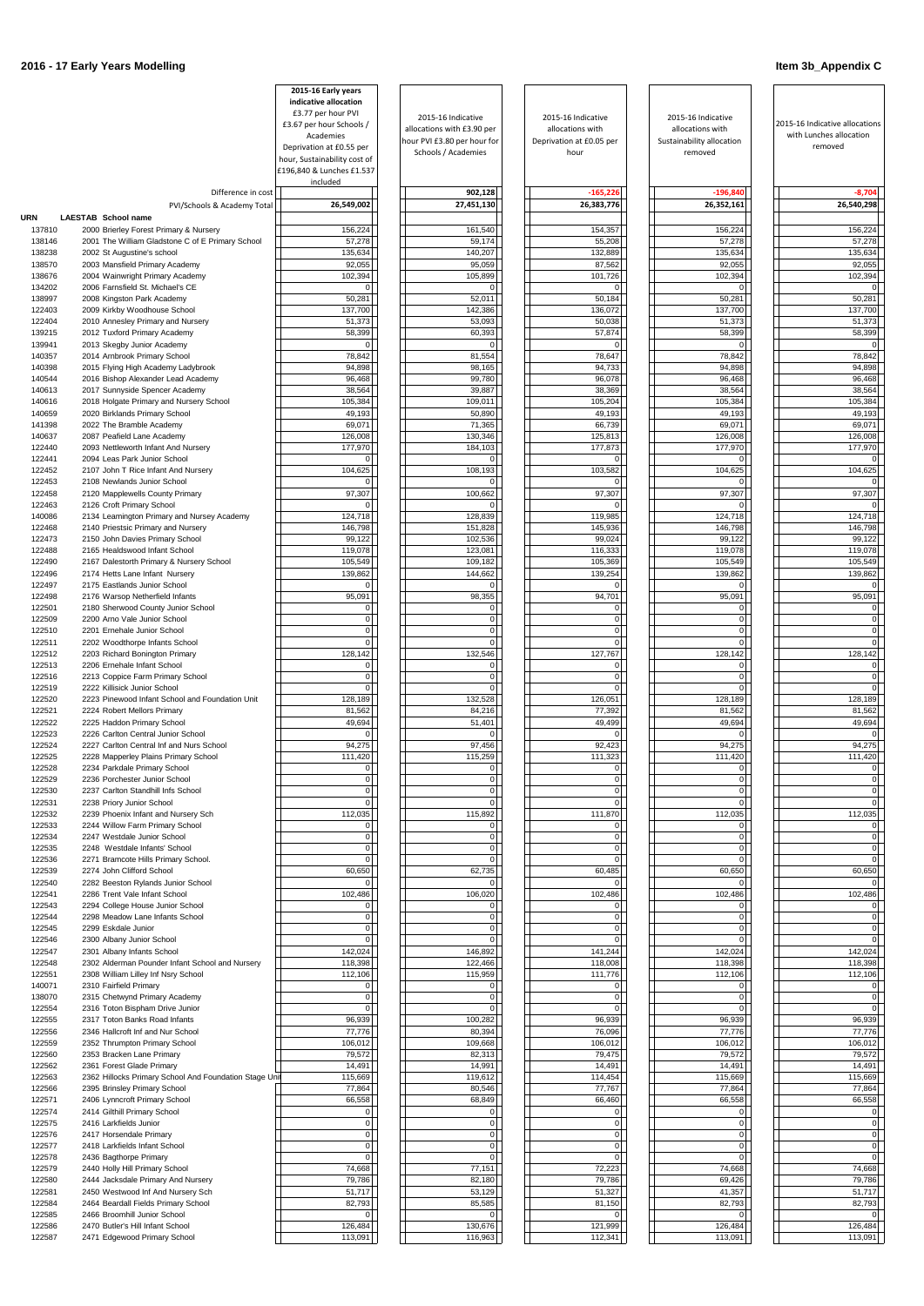|                  |                                                                                        | 2015-16 Early years<br>indicative allocation |                                                    |                                       |                                      |                                                           |
|------------------|----------------------------------------------------------------------------------------|----------------------------------------------|----------------------------------------------------|---------------------------------------|--------------------------------------|-----------------------------------------------------------|
|                  |                                                                                        | £3.77 per hour PVI                           | 2015-16 Indicative                                 | 2015-16 Indicative                    | 2015-16 Indicative                   |                                                           |
|                  |                                                                                        | £3.67 per hour Schools /<br>Academies        | allocations with £3.90 per                         | allocations with                      | allocations with                     | 2015-16 Indicative allocations<br>with Lunches allocation |
|                  |                                                                                        | Deprivation at £0.55 per                     | hour PVI £3.80 per hour for<br>Schools / Academies | Deprivation at £0.05 per<br>hour      | Sustainability allocation<br>removed | removed                                                   |
|                  |                                                                                        | hour, Sustainability cost of                 |                                                    |                                       |                                      |                                                           |
|                  |                                                                                        | £196,840 & Lunches £1.537<br>included        |                                                    |                                       |                                      |                                                           |
|                  | Difference in cost                                                                     |                                              | 902,128                                            | $-165,226$                            | $-196,840$                           | $-8,704$                                                  |
|                  | PVI/Schools & Academy Total                                                            | 26,549,002                                   | 27,451,130                                         | 26,383,776                            | 26,352,161                           | 26,540,298                                                |
| URN              | LAESTAB School name                                                                    |                                              |                                                    |                                       |                                      |                                                           |
| 137810           | 2000 Brierley Forest Primary & Nursery                                                 | 156,224                                      | 161,540                                            | 154,357                               | 156,224                              | 156,224                                                   |
| 138146<br>138238 | 2001 The William Gladstone C of E Primary School<br>2002 St Augustine's school         | 57,278<br>135,634                            | 59,174<br>140,207                                  | 55,208<br>132,889                     | 57,278<br>135,634                    | 57,278<br>135,634                                         |
| 138570           | 2003 Mansfield Primary Academy                                                         | 92,055                                       | 95,059                                             | 87,562                                | 92,055                               | 92,055                                                    |
| 138676           | 2004 Wainwright Primary Academy                                                        | 102,394                                      | 105,899                                            | 101,726                               | 102,394                              | 102,394                                                   |
| 134202           | 2006 Farnsfield St. Michael's CE                                                       | 0                                            |                                                    | $\Omega$                              | $\overline{0}$                       |                                                           |
| 138997           | 2008 Kingston Park Academy                                                             | 50,281                                       | 52,011                                             | 50,184                                | 50,281                               | 50,281                                                    |
| 122403<br>122404 | 2009 Kirkby Woodhouse School<br>2010 Annesley Primary and Nursery                      | 137,700<br>51,373                            | 142,386<br>53,093                                  | 136,072<br>50,038                     | 137,700<br>51,373                    | 137,700<br>51,373                                         |
| 139215           | 2012 Tuxford Primary Academy                                                           | 58,399                                       | 60,393                                             | 57,874                                | 58,399                               | 58,399                                                    |
| 139941           | 2013 Skegby Junior Academy                                                             | 01                                           | $\Omega$                                           | $\Omega$                              | $\Omega$                             | 0                                                         |
| 140357           | 2014 Arnbrook Primary School                                                           | 78,842                                       | 81,554                                             | 78,647                                | 78,842                               | 78,842                                                    |
| 140398<br>140544 | 2015 Flying High Academy Ladybrook<br>2016 Bishop Alexander Lead Academy               | 94,898<br>96,468                             | 98,165<br>99,780                                   | 94,733<br>96,078                      | 94,898<br>96,468                     | 94,898<br>96,468                                          |
| 140613           | 2017 Sunnyside Spencer Academy                                                         | 38,564                                       | 39,887                                             | 38,369                                | 38,564                               | 38,564                                                    |
| 140616           | 2018 Holgate Primary and Nursery School                                                | 105,384                                      | 109,011                                            | 105,204                               | 105,384                              | 105,384                                                   |
| 140659           | 2020 Birklands Primary School                                                          | 49,193                                       | 50,890                                             | 49,193                                | 49,193                               | 49,193                                                    |
| 141398           | 2022 The Bramble Academy                                                               | 69,071                                       | 71,365                                             | 66,739                                | 69,071                               | 69,071                                                    |
| 140637<br>122440 | 2087 Peafield Lane Academy<br>2093 Nettleworth Infant And Nursery                      | 126,008<br>177,970                           | 130,346<br>184,103                                 | 125,813<br>177,873                    | 126,008<br>177,970                   | 126,008<br>177,970                                        |
| 122441           | 2094 Leas Park Junior School                                                           | 01                                           | $\Omega$                                           | $\Omega$                              | $\Omega$                             |                                                           |
| 122452           | 2107 John T Rice Infant And Nursery                                                    | 104,625                                      | 108,193                                            | 103,582                               | 104,625                              | 104,625                                                   |
| 122453           | 2108 Newlands Junior School                                                            | 01                                           |                                                    | $\Omega$                              | 0                                    |                                                           |
| 122458           | 2120 Mapplewells County Primary                                                        | 97,307                                       | 100,662                                            | 97,307                                | 97,307                               | 97,307                                                    |
| 122463<br>140086 | 2126 Croft Primary School<br>2134 Leamington Primary and Nursey Academy                | 01<br>124,718                                | 128,839                                            | $\Omega$<br>119,985                   | $\Omega$<br>124,718                  | 124,718                                                   |
| 122468           | 2140 Priestsic Primary and Nursery                                                     | 146,798                                      | 151,828                                            | 145,936                               | 146,798                              | 146,798                                                   |
| 122473           | 2150 John Davies Primary School                                                        | 99,122                                       | 102,536                                            | 99,024                                | 99,122                               | 99,122                                                    |
| 122488           | 2165 Healdswood Infant School                                                          | 119,078                                      | 123,081                                            | 116,333                               | 119,078                              | 119,078                                                   |
| 122490           | 2167 Dalestorth Primary & Nursery School                                               | 105,549                                      | 109,182                                            | 105,369                               | 105,549                              | 105,549                                                   |
| 122496<br>122497 | 2174 Hetts Lane Infant Nursery<br>2175 Eastlands Junior School                         | 139,862<br>$\overline{0}$                    | 144,662<br>$\Omega$                                | 139,254<br>$\overline{0}$             | 139,862<br>$\overline{0}$            | 139,862<br>0                                              |
| 122498           | 2176 Warsop Netherfield Infants                                                        | 95,091                                       | 98,355                                             | 94,701                                | 95,091                               | 95,091                                                    |
| 122501           | 2180 Sherwood County Junior School                                                     | 0                                            | $\overline{0}$                                     | $\overline{0}$                        | $\overline{0}$                       | 0                                                         |
| 122509           | 2200 Arno Vale Junior School                                                           | $\overline{0}$                               | $\Omega$                                           | $\overline{0}$                        | $\overline{0}$                       | 0                                                         |
| 122510<br>122511 | 2201 Ernehale Junior School<br>2202 Woodthorpe Infants School                          | $\overline{0}$<br> 0                         | $\mathbf{0}$<br>$\Omega$                           | $\overline{0}$<br>$\overline{0}$      | $\overline{0}$<br>$\overline{0}$     | 0<br>$\Omega$                                             |
| 122512           | 2203 Richard Bonington Primary                                                         | 128,142                                      | 132,546                                            | 127,767                               | 128,142                              | 128,142                                                   |
| 122513           | 2206 Ernehale Infant School                                                            | 0                                            | $\Omega$                                           | $\overline{0}$                        | $\overline{0}$                       | 0                                                         |
| 122516           | 2213 Coppice Farm Primary School                                                       | 01                                           | $\Omega$                                           | 0                                     | 0                                    |                                                           |
| 122519           | 2222 Killisick Junior School                                                           | 0                                            |                                                    | $\Omega$                              | 0                                    |                                                           |
| 122520<br>122521 | 2223 Pinewood Infant School and Foundation Unit<br>2224 Robert Mellors Primary         | 128,189<br>81,562                            | 132,528<br>84,216                                  | 126,051<br>77,392                     | 128,189<br>81,562                    | 128,189<br>81,562                                         |
| 122522           | 2225 Haddon Primary School                                                             | 49,694                                       | 51,401                                             | 49,499                                | 49,694                               | 49,694                                                    |
| 122523           | 2226 Carlton Central Junior School                                                     | 0                                            |                                                    | $\Omega$                              | 0                                    |                                                           |
| 122524           | 2227 Carlton Central Inf and Nurs School                                               | 94,275                                       | 97,456                                             | 92,423                                | 94,275                               | 94,275                                                    |
| 122525<br>122528 | 2228 Mapperley Plains Primary School<br>2234 Parkdale Primary School                   | 111,420<br>0                                 | 115,259<br>$\overline{0}$                          | 111,323<br>$\mathbf 0$                | 111,420<br>$\overline{0}$            | 111,420                                                   |
| 122529           | 2236 Porchester Junior School                                                          | $\overline{0}$                               | $\overline{0}$                                     | $\overline{0}$                        | $\overline{0}$                       | 0                                                         |
| 122530           | 2237 Carlton Standhill Infs School                                                     | 01                                           | $\Omega$                                           | $\mathbf 0$                           | $\overline{0}$                       | 0                                                         |
| 122531           | 2238 Priory Junior School                                                              | $\overline{0}$                               | $\overline{0}$                                     | $\mathbf 0$                           | $\overline{0}$                       | 0                                                         |
| 122532<br>122533 | 2239 Phoenix Infant and Nursery Sch                                                    | 112,035                                      | 115,892<br>$\overline{0}$                          | 111,870<br>$\overline{0}$             | 112,035                              | 112,035                                                   |
| 122534           | 2244 Willow Farm Primary School<br>2247 Westdale Junior School                         | $\overline{0}$<br>$\overline{0}$             | $\Omega$                                           | 0                                     | $\overline{0}$<br>$\overline{0}$     | 0 <br>0                                                   |
| 122535           | 2248 Westdale Infants' School                                                          | $\overline{0}$                               | $\Omega$                                           | $\overline{0}$                        | $\overline{0}$                       | $\Omega$                                                  |
| 122536           | 2271 Bramcote Hills Primary School.                                                    | 0l                                           |                                                    | $\Omega$                              | $\overline{0}$                       | $\Omega$                                                  |
| 122539           | 2274 John Clifford School                                                              | 60,650                                       | 62,735                                             | 60,485                                | 60,650                               | 60,650                                                    |
| 122540<br>122541 | 2282 Beeston Rylands Junior School<br>2286 Trent Vale Infant School                    | 0<br>102,486                                 | 106,020                                            | $\Omega$<br>102,486                   | 0<br>102,486                         | 102,486                                                   |
| 122543           | 2294 College House Junior School                                                       | $\overline{0}$                               | $\overline{0}$                                     | $\overline{0}$                        | $\overline{0}$                       | 0                                                         |
| 122544           | 2298 Meadow Lane Infants School                                                        | $\overline{0}$                               | $\Omega$                                           | $\overline{0}$                        | $\Omega$                             | 0                                                         |
| 122545           | 2299 Eskdale Junior                                                                    | 0                                            | $\Omega$                                           | $\overline{0}$                        | 0                                    | 0                                                         |
| 122546           | 2300 Albany Junior School                                                              | $\overline{0}$                               | $\Omega$                                           | $\Omega$                              | $\overline{0}$                       |                                                           |
| 122547<br>122548 | 2301 Albany Infants School<br>2302 Alderman Pounder Infant School and Nursery          | 142,024<br>118,398                           | 146,892<br>122,466                                 | 141,244<br>118,008                    | 142,024<br>118,398                   | 142,024<br>118,398                                        |
| 122551           | 2308 William Lilley Inf Nsry School                                                    | 112,106                                      | 115,959                                            | 111,776                               | 112,106                              | 112,106                                                   |
| 140071           | 2310 Fairfield Primary                                                                 | 01                                           | $\Omega$                                           | $\Omega$                              | 0                                    |                                                           |
| 138070           | 2315 Chetwynd Primary Academy                                                          | 0                                            | $\Omega$                                           | $\Omega$                              | 0                                    |                                                           |
| 122554           | 2316 Toton Bispham Drive Junior<br>2317 Toton Banks Road Infants                       | 0                                            |                                                    | $\Omega$                              | $\overline{0}$                       |                                                           |
| 122555<br>122556 | 2346 Hallcroft Inf and Nur School                                                      | 96,939<br>77,776                             | 100,282<br>80,394                                  | 96,939<br>76,096                      | 96,939<br>77,776                     | 96,939<br>77,776                                          |
| 122559           | 2352 Thrumpton Primary School                                                          | 106,012                                      | 109,668                                            | 106,012                               | 106,012                              | 106,012                                                   |
| 122560           | 2353 Bracken Lane Primary                                                              | 79,572                                       | 82,313                                             | 79,475                                | 79,572                               | 79,572                                                    |
| 122562           | 2361 Forest Glade Primary                                                              | 14,491                                       | 14,991                                             | 14,491                                | 14,491                               | 14,491                                                    |
| 122563<br>122566 | 2362 Hillocks Primary School And Foundation Stage Unit<br>2395 Brinsley Primary School | 115,669<br>77,864                            | 119,612<br>80,546                                  | 114,454<br>77,767                     | 115,669<br>77,864                    | 115,669<br>77,864                                         |
| 122571           | 2406 Lynncroft Primary School                                                          | 66,558                                       | 68,849                                             | 66,460                                | 66,558                               | 66,558                                                    |
| 122574           | 2414 Gilthill Primary School                                                           | 0                                            | 0                                                  | $\overline{0}$                        | 0                                    | 0                                                         |
| 122575           | 2416 Larkfields Junior                                                                 | 0                                            | $\overline{0}$                                     | $\overline{0}$                        | $\overline{0}$                       | $\overline{0}$                                            |
| 122576           | 2417 Horsendale Primary                                                                | $\mathsf{O}$                                 | $\mathbf{O}$                                       | $\overline{0}$                        | 0                                    | $\mathbf{O}$                                              |
| 122577<br>122578 | 2418 Larkfields Infant School<br>2436 Bagthorpe Primary                                | $\mathbf{0}$<br>$\overline{0}$               | $\overline{0}$<br>$\Omega$                         | $\mathsf{O}\xspace$<br>$\overline{0}$ | $\overline{0}$<br>$\overline{0}$     | $\overline{0}$<br> 0                                      |
| 122579           | 2440 Holly Hill Primary School                                                         | 74,668                                       | 77,151                                             | 72,223                                | 74,668                               | 74,668                                                    |
| 122580           | 2444 Jacksdale Primary And Nursery                                                     | 79,786                                       | 82,180                                             | 79,786                                | 69,426                               | 79,786                                                    |
| 122581           | 2450 Westwood Inf And Nursery Sch                                                      | 51,717                                       | 53,129                                             | 51,327                                | 41,357                               | 51,717                                                    |
| 122584<br>122585 | 2464 Beardall Fields Primary School<br>2466 Broomhill Junior School                    | 82,793<br>$\overline{0}$                     | 85,585<br>$\overline{0}$                           | 81,150<br>$\overline{0}$              | 82,793<br>$\overline{0}$             | 82,793                                                    |
| 122586           | 2470 Butler's Hill Infant School                                                       | 126,484                                      | 130,676                                            | 121,999                               | 126,484                              | 126,484                                                   |
| 122587           | 2471 Edgewood Primary School                                                           | 113,091                                      | 116,963                                            | 112,341                               | 113,091                              | 113,091                                                   |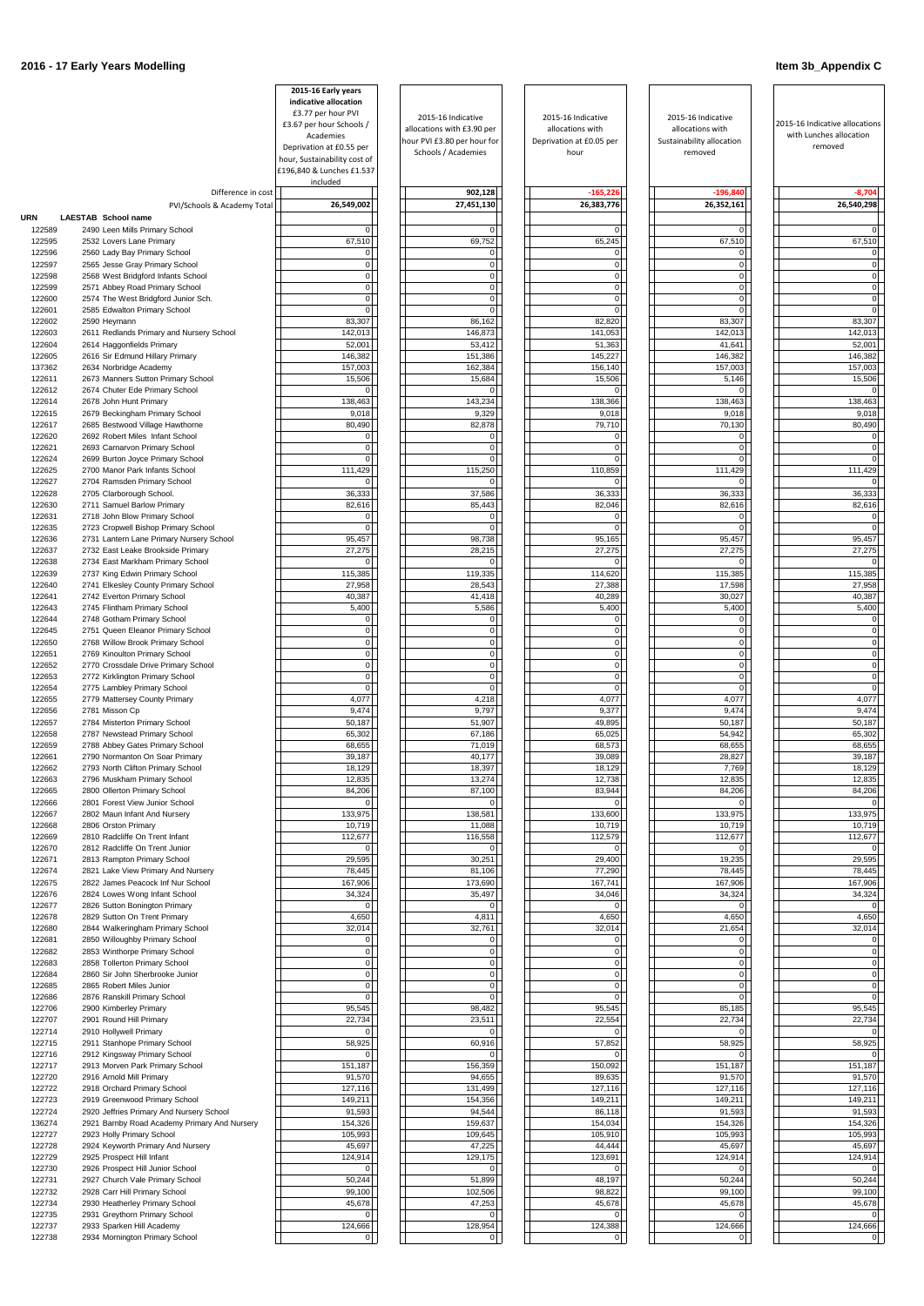|                  |                                                                               | 2015-16 Early years<br>indicative allocation<br>£3.77 per hour PVI<br>£3.67 per hour Schools /<br>Academies<br>Deprivation at £0.55 per<br>hour, Sustainability cost of<br>£196,840 & Lunches £1.537<br>included | 2015-16 Indicative<br>allocations with £3.90 per<br>hour PVI £3.80 per hour for<br>Schools / Academies | 2015-16 Indicative<br>allocations with<br>Deprivation at £0.05 per<br>hour | 2015-16 Indicative<br>allocations with<br>Sustainability allocation<br>removed | 2015-16 Indicative allocations<br>with Lunches allocation<br>removed |
|------------------|-------------------------------------------------------------------------------|------------------------------------------------------------------------------------------------------------------------------------------------------------------------------------------------------------------|--------------------------------------------------------------------------------------------------------|----------------------------------------------------------------------------|--------------------------------------------------------------------------------|----------------------------------------------------------------------|
|                  | Difference in cost                                                            |                                                                                                                                                                                                                  | 902,128                                                                                                | $-165,226$                                                                 | $-196,840$                                                                     | $-8,704$                                                             |
| <b>URN</b>       | PVI/Schools & Academy Total<br>LAESTAB School name                            | 26,549,002                                                                                                                                                                                                       | 27,451,130                                                                                             | 26,383,776                                                                 | 26,352,161                                                                     | 26,540,298                                                           |
| 122589           | 2490 Leen Mills Primary School                                                | $\overline{0}$                                                                                                                                                                                                   |                                                                                                        | $\Omega$                                                                   | $\Omega$                                                                       |                                                                      |
| 122595           | 2532 Lovers Lane Primary                                                      | 67,510                                                                                                                                                                                                           | 69,752                                                                                                 | 65,245                                                                     | 67,510                                                                         | 67,510                                                               |
| 122596<br>122597 | 2560 Lady Bay Primary School<br>2565 Jesse Gray Primary School                | 0 <br>$\overline{0}$                                                                                                                                                                                             | $\Omega$<br>$\Omega$                                                                                   | $\Omega$<br>$\Omega$                                                       | $\Omega$<br>$\Omega$                                                           |                                                                      |
| 122598           | 2568 West Bridgford Infants School                                            | 0                                                                                                                                                                                                                | $\overline{0}$                                                                                         | $\overline{0}$                                                             | $\mathbf 0$                                                                    | $\Omega$                                                             |
| 122599           | 2571 Abbey Road Primary School                                                | 0                                                                                                                                                                                                                | $\overline{0}$                                                                                         | $\overline{0}$                                                             | $\Omega$                                                                       | $\Omega$                                                             |
| 122600<br>122601 | 2574 The West Bridgford Junior Sch.<br>2585 Edwalton Primary School           | 0 <br>$\Omega$                                                                                                                                                                                                   | $\Omega$                                                                                               | $\overline{0}$<br>$\Omega$                                                 | $\mathbf{0}$<br>$\Omega$                                                       | $\overline{0}$                                                       |
| 122602           | 2590 Heymann                                                                  | 83,307                                                                                                                                                                                                           | 86,162                                                                                                 | 82,820                                                                     | 83,307                                                                         | 83,307                                                               |
| 122603           | 2611 Redlands Primary and Nursery School                                      | 142,013                                                                                                                                                                                                          | 146,873                                                                                                | 141,053                                                                    | 142,013                                                                        | 142,013                                                              |
| 122604<br>122605 | 2614 Haggonfields Primary<br>2616 Sir Edmund Hillary Primary                  | 52,001<br>146,382                                                                                                                                                                                                | 53,412<br>151,386                                                                                      | 51,363<br>145,227                                                          | 41,641<br>146,382                                                              | 52,001<br>146,382                                                    |
| 137362           | 2634 Norbridge Academy                                                        | 157,003                                                                                                                                                                                                          | 162,384                                                                                                | 156,140                                                                    | 157,003                                                                        | 157,003                                                              |
| 122611           | 2673 Manners Sutton Primary School                                            | 15,506                                                                                                                                                                                                           | 15,684                                                                                                 | 15,506                                                                     | 5,146                                                                          | 15,506                                                               |
| 122612<br>122614 | 2674 Chuter Ede Primary School<br>2678 John Hunt Primary                      | $\overline{0}$<br>138,463                                                                                                                                                                                        | 143,234                                                                                                | $\Omega$<br>138,366                                                        | $\Omega$<br>138,463                                                            | 138,463                                                              |
| 122615           | 2679 Beckingham Primary School                                                | 9,018                                                                                                                                                                                                            | 9,329                                                                                                  | 9,018                                                                      | 9,018                                                                          | 9,018                                                                |
| 122617           | 2685 Bestwood Village Hawthorne                                               | 80,490                                                                                                                                                                                                           | 82,878                                                                                                 | 79,710                                                                     | 70,130                                                                         | 80,490                                                               |
| 122620<br>122621 | 2692 Robert Miles Infant School<br>2693 Carnarvon Primary School              | $\overline{0}$<br>$\overline{0}$                                                                                                                                                                                 | $\Omega$<br>$\Omega$                                                                                   | $\Omega$<br>$\Omega$                                                       | $\overline{0}$<br>$\Omega$                                                     | 0                                                                    |
| 122624           | 2699 Burton Joyce Primary School                                              | $\overline{0}$                                                                                                                                                                                                   | $\Omega$                                                                                               | $\Omega$                                                                   | $\Omega$                                                                       |                                                                      |
| 122625           | 2700 Manor Park Infants School                                                | 111,429                                                                                                                                                                                                          | 115,250                                                                                                | 110,859                                                                    | 111,429                                                                        | 111,429                                                              |
| 122627           | 2704 Ramsden Primary School                                                   | $\Omega$                                                                                                                                                                                                         | <sup>0</sup>                                                                                           | $\Omega$                                                                   | $\Omega$                                                                       |                                                                      |
| 122628<br>122630 | 2705 Clarborough School.<br>2711 Samuel Barlow Primary                        | 36,333<br>82,616                                                                                                                                                                                                 | 37,586<br>85,443                                                                                       | 36,333<br>82,046                                                           | 36,333<br>82,616                                                               | 36,333<br>82,616                                                     |
| 122631           | 2718 John Blow Primary School                                                 | 0                                                                                                                                                                                                                | U                                                                                                      | $\Omega$                                                                   | $\Omega$                                                                       | $\Omega$                                                             |
| 122635           | 2723 Cropwell Bishop Primary School                                           | $\overline{0}$                                                                                                                                                                                                   |                                                                                                        | $\Omega$                                                                   | $\Omega$                                                                       |                                                                      |
| 122636<br>122637 | 2731 Lantern Lane Primary Nursery School<br>2732 East Leake Brookside Primary | 95,457<br>27,275                                                                                                                                                                                                 | 98,738<br>28,215                                                                                       | 95,165<br>27,275                                                           | 95,457<br>27,275                                                               | 95,457<br>27,275                                                     |
| 122638           | 2734 East Markham Primary School                                              | 0                                                                                                                                                                                                                |                                                                                                        | 0                                                                          | $\Omega$                                                                       | $\Omega$                                                             |
| 122639           | 2737 King Edwin Primary School                                                | 115.385                                                                                                                                                                                                          | 119,335                                                                                                | 114,620                                                                    | 115,385                                                                        | 115,385                                                              |
| 122640<br>122641 | 2741 Elkesley County Primary School<br>2742 Everton Primary School            | 27,958<br>40,387                                                                                                                                                                                                 | 28,543<br>41,418                                                                                       | 27,388<br>40,289                                                           | 17,598<br>30,027                                                               | 27,958<br>40,387                                                     |
| 122643           | 2745 Flintham Primary School                                                  | 5,400                                                                                                                                                                                                            | 5,586                                                                                                  | 5,400                                                                      | 5,400                                                                          | 5,400                                                                |
| 122644           | 2748 Gotham Primary School                                                    | 0                                                                                                                                                                                                                | $\Omega$                                                                                               | 0                                                                          | $\Omega$                                                                       |                                                                      |
| 122645<br>122650 | 2751 Queen Eleanor Primary School                                             | 0                                                                                                                                                                                                                | $\Omega$<br>$\overline{0}$                                                                             | $\overline{0}$                                                             | $\Omega$<br>$\mathbf 0$                                                        |                                                                      |
| 122651           | 2768 Willow Brook Primary School<br>2769 Kinoulton Primary School             | $\overline{0}$<br>$\overline{0}$                                                                                                                                                                                 | 0                                                                                                      | $\overline{0}$<br>$\overline{0}$                                           | $\overline{0}$                                                                 |                                                                      |
| 122652           | 2770 Crossdale Drive Primary School                                           | $\overline{0}$                                                                                                                                                                                                   | $\overline{0}$                                                                                         | $\overline{0}$                                                             | $\overline{0}$                                                                 |                                                                      |
| 122653           | 2772 Kirklington Primary School                                               | $\overline{0}$                                                                                                                                                                                                   | $\overline{0}$                                                                                         | $\overline{0}$                                                             | $\overline{0}$                                                                 | $\Omega$                                                             |
| 122654<br>122655 | 2775 Lambley Primary School<br>2779 Mattersey County Primary                  | $\overline{0}$<br>4,077                                                                                                                                                                                          | $\Omega$<br>4,218                                                                                      | $\overline{0}$<br>4,077                                                    | $\Omega$<br>4,077                                                              | 4,077                                                                |
| 122656           | 2781 Misson Cp                                                                | 9,474                                                                                                                                                                                                            | 9,797                                                                                                  | 9,377                                                                      | 9,474                                                                          | 9,474                                                                |
| 122657           | 2784 Misterton Primary School                                                 | 50,187                                                                                                                                                                                                           | 51,907                                                                                                 | 49,895                                                                     | 50,187                                                                         | 50,187                                                               |
| 122658<br>122659 | 2787 Newstead Primary School<br>2788 Abbey Gates Primary School               | 65,302<br>68,655                                                                                                                                                                                                 | 67,186<br>71,019                                                                                       | 65,025<br>68,573                                                           | 54,942<br>68,655                                                               | 65,302<br>68,655                                                     |
| 122661           | 2790 Normanton On Soar Primary                                                | 39,187                                                                                                                                                                                                           | 40,177                                                                                                 | 39,089                                                                     | 28,827                                                                         | 39,187                                                               |
| 122662           | 2793 North Clifton Primary School                                             | 18,129                                                                                                                                                                                                           | 18,397                                                                                                 | 18,129                                                                     | 7,769                                                                          | 18,129                                                               |
| 122663           | 2796 Muskham Primary School                                                   | 12,835                                                                                                                                                                                                           | 13,274                                                                                                 | 12,738                                                                     | 12,835                                                                         | 12,835<br>84,206                                                     |
| 122665<br>122666 | 2800 Ollerton Primary School<br>2801 Forest View Junior School                | 84,206<br>$\overline{0}$                                                                                                                                                                                         | 87,100                                                                                                 | 83,944                                                                     | 84,206<br>$\Omega$                                                             |                                                                      |
| 122667           | 2802 Maun Infant And Nursery                                                  | 133,975                                                                                                                                                                                                          | 138,581                                                                                                | 133,600                                                                    | 133,975                                                                        | 133,975                                                              |
| 122668           | 2806 Orston Primary                                                           | 10,719                                                                                                                                                                                                           | 11,088                                                                                                 | 10,719                                                                     | 10,719                                                                         | 10,719                                                               |
| 122669<br>122670 | 2810 Radcliffe On Trent Infant<br>2812 Radcliffe On Trent Junior              | 112,677<br>$\overline{0}$                                                                                                                                                                                        | 116,558                                                                                                | 112,579                                                                    | 112,677                                                                        | 112,677                                                              |
| 122671           | 2813 Rampton Primary School                                                   | 29,595                                                                                                                                                                                                           | 30,251                                                                                                 | 29,400                                                                     | 19,235                                                                         | 29,595                                                               |
| 122674           | 2821 Lake View Primary And Nursery                                            | 78,445                                                                                                                                                                                                           | 81,106                                                                                                 | 77,290                                                                     | 78,445                                                                         | 78,445                                                               |
| 122675<br>122676 | 2822 James Peacock Inf Nur School<br>2824 Lowes Wong Infant School            | 167,906<br>34,324                                                                                                                                                                                                | 173,690<br>35,497                                                                                      | 167,741<br>34,046                                                          | 167,906<br>34,324                                                              | 167,906<br>34,324                                                    |
| 122677           | 2826 Sutton Bonington Primary                                                 | $\Omega$                                                                                                                                                                                                         |                                                                                                        | $\Omega$                                                                   |                                                                                |                                                                      |
| 122678           | 2829 Sutton On Trent Primary                                                  | 4,650                                                                                                                                                                                                            | 4,811                                                                                                  | 4,650                                                                      | 4,650                                                                          | 4,650                                                                |
| 122680<br>122681 | 2844 Walkeringham Primary School<br>2850 Willoughby Primary School            | 32,014<br> 0                                                                                                                                                                                                     | 32,761<br>$\Omega$                                                                                     | 32,014<br>$\Omega$                                                         | 21,654<br>$\Omega$                                                             | 32,014                                                               |
| 122682           | 2853 Winthorpe Primary School                                                 | $\overline{0}$                                                                                                                                                                                                   | $\overline{0}$                                                                                         | 0                                                                          | $\mathbf 0$                                                                    |                                                                      |
| 122683           | 2858 Tollerton Primary School                                                 | $\overline{0}$                                                                                                                                                                                                   | $\Omega$                                                                                               | $\overline{0}$                                                             | $\overline{0}$                                                                 |                                                                      |
| 122684           | 2860 Sir John Sherbrooke Junior                                               | $\overline{0}$                                                                                                                                                                                                   | $\Omega$                                                                                               | $\overline{0}$                                                             | $\Omega$                                                                       | $\Omega$                                                             |
| 122685<br>122686 | 2865 Robert Miles Junior<br>2876 Ranskill Primary School                      | $\overline{0}$<br>$\overline{0}$                                                                                                                                                                                 | $\Omega$<br>$\Omega$                                                                                   | $\overline{0}$<br>$\overline{0}$                                           | $\overline{0}$<br>$\Omega$                                                     |                                                                      |
| 122706           | 2900 Kimberley Primary                                                        | 95,545                                                                                                                                                                                                           | 98,482                                                                                                 | 95,545                                                                     | 85,185                                                                         | 95,545                                                               |
| 122707           | 2901 Round Hill Primary                                                       | 22,734                                                                                                                                                                                                           | 23,511                                                                                                 | 22,554                                                                     | 22,734                                                                         | 22,734                                                               |
| 122714<br>122715 | 2910 Hollywell Primary<br>2911 Stanhope Primary School                        | $\Omega$<br>58,925                                                                                                                                                                                               | $\Omega$<br>60,916                                                                                     | $\Omega$<br>57,852                                                         | $\Omega$<br>58,925                                                             | 58,925                                                               |
| 122716           | 2912 Kingsway Primary School                                                  | $\overline{0}$                                                                                                                                                                                                   |                                                                                                        |                                                                            |                                                                                |                                                                      |
| 122717           | 2913 Morven Park Primary School                                               | 151,187                                                                                                                                                                                                          | 156,359                                                                                                | 150,092                                                                    | 151,187                                                                        | 151,187                                                              |
| 122720           | 2916 Arnold Mill Primary                                                      | 91,570                                                                                                                                                                                                           | 94,655                                                                                                 | 89,635                                                                     | 91,570                                                                         | 91,570                                                               |
| 122722<br>122723 | 2918 Orchard Primary School<br>2919 Greenwood Primary School                  | 127,116<br>149,211                                                                                                                                                                                               | 131,499<br>154,356                                                                                     | 127,116<br>149,211                                                         | 127,116<br>149,211                                                             | 127,116<br>149,211                                                   |
| 122724           | 2920 Jeffries Primary And Nursery School                                      | 91,593                                                                                                                                                                                                           | 94,544                                                                                                 | 86,118                                                                     | 91,593                                                                         | 91,593                                                               |
| 136274           | 2921 Barnby Road Academy Primary And Nursery                                  | 154,326                                                                                                                                                                                                          | 159,637                                                                                                | 154,034                                                                    | 154,326                                                                        | 154,326                                                              |
| 122727<br>122728 | 2923 Holly Primary School<br>2924 Keyworth Primary And Nursery                | 105,993<br>45,697                                                                                                                                                                                                | 109,645<br>47,225                                                                                      | 105,910<br>44,444                                                          | 105,993<br>45,697                                                              | 105,993<br>45,697                                                    |
| 122729           | 2925 Prospect Hill Infant                                                     | 124,914                                                                                                                                                                                                          | 129,175                                                                                                | 123,691                                                                    | 124,914                                                                        | 124,914                                                              |
| 122730           | 2926 Prospect Hill Junior School                                              | $\overline{0}$                                                                                                                                                                                                   | $\overline{0}$                                                                                         | 0                                                                          | $\Omega$                                                                       |                                                                      |
| 122731<br>122732 | 2927 Church Vale Primary School<br>2928 Carr Hill Primary School              | 50,244<br>99,100                                                                                                                                                                                                 | 51,899<br>102,506                                                                                      | 48,197<br>98,822                                                           | 50,244<br>99,100                                                               | 50,244<br>99,100                                                     |
| 122734           | 2930 Heatherley Primary School                                                | 45,678                                                                                                                                                                                                           | 47,253                                                                                                 | 45,678                                                                     | 45,678                                                                         | 45,678                                                               |
| 122735           | 2931 Greythorn Primary School                                                 | $\overline{0}$                                                                                                                                                                                                   | $\Omega$                                                                                               | $\overline{0}$                                                             | $\mathbf 0$                                                                    |                                                                      |
| 122737<br>122738 | 2933 Sparken Hill Academy<br>2934 Mornington Primary School                   | 124,666<br>$\overline{0}$                                                                                                                                                                                        | 128,954                                                                                                | 124,388<br>$\Omega$                                                        | 124,666                                                                        | 124,666<br>$\overline{0}$                                            |
|                  |                                                                               |                                                                                                                                                                                                                  |                                                                                                        |                                                                            |                                                                                |                                                                      |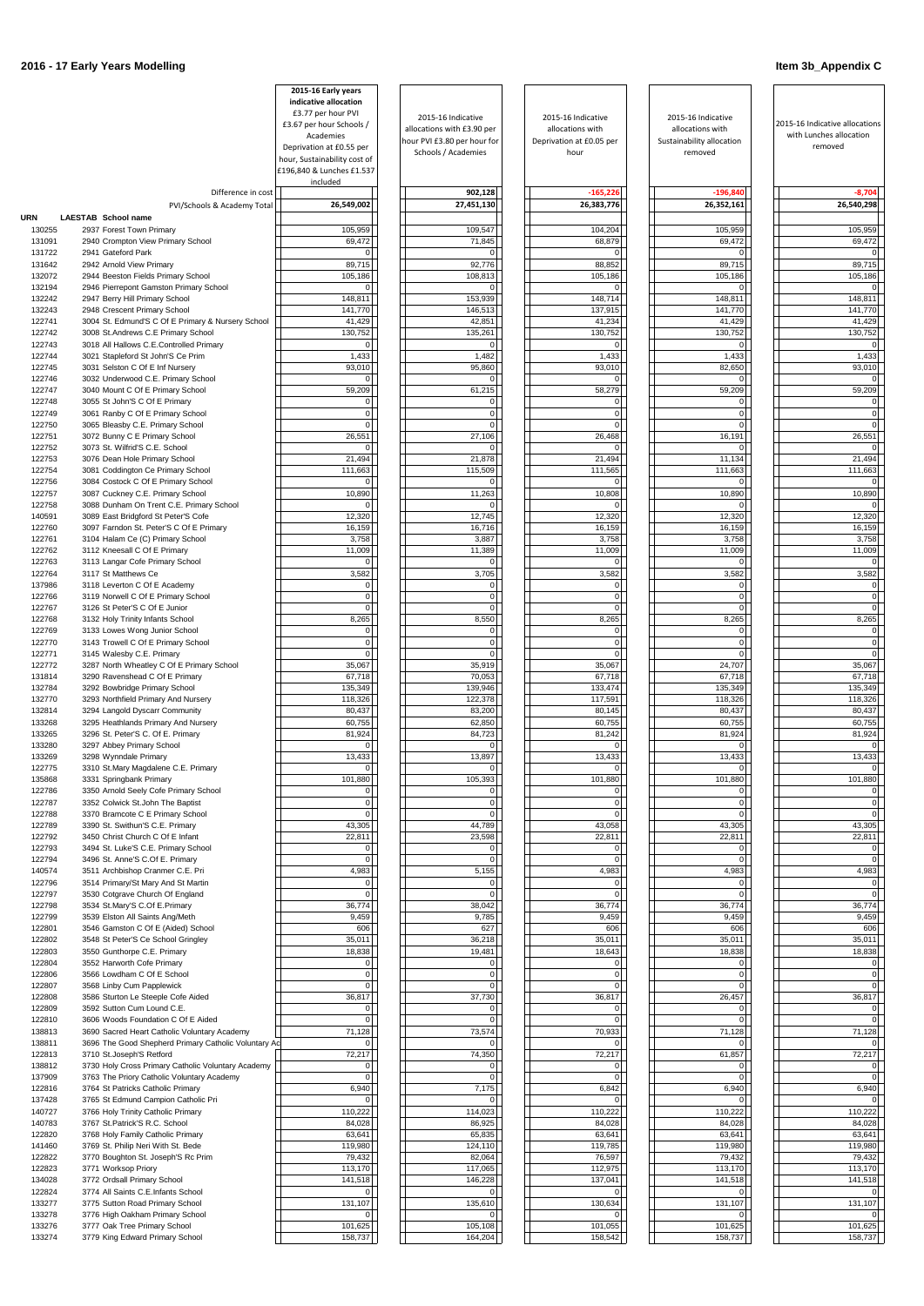|                  |                                                                                                      | 2015-16 Early years<br>indicative allocation |                                                    |                                  |                                      |                                                           |
|------------------|------------------------------------------------------------------------------------------------------|----------------------------------------------|----------------------------------------------------|----------------------------------|--------------------------------------|-----------------------------------------------------------|
|                  |                                                                                                      | £3.77 per hour PVI                           | 2015-16 Indicative                                 | 2015-16 Indicative               | 2015-16 Indicative                   |                                                           |
|                  |                                                                                                      | £3.67 per hour Schools /<br>Academies        | allocations with £3.90 per                         | allocations with                 | allocations with                     | 2015-16 Indicative allocations<br>with Lunches allocation |
|                  |                                                                                                      | Deprivation at £0.55 per                     | hour PVI £3.80 per hour for<br>Schools / Academies | Deprivation at £0.05 per<br>hour | Sustainability allocation<br>removed | removed                                                   |
|                  |                                                                                                      | hour, Sustainability cost of                 |                                                    |                                  |                                      |                                                           |
|                  |                                                                                                      | £196,840 & Lunches £1.537<br>included        |                                                    |                                  |                                      |                                                           |
|                  | Difference in cost                                                                                   |                                              | 902,128                                            | $-165,226$                       | $-196,840$                           | $-8,704$                                                  |
|                  | PVI/Schools & Academy Total                                                                          | 26,549,002                                   | 27,451,130                                         | 26,383,776                       | 26,352,161                           | 26,540,298                                                |
| URN<br>130255    | LAESTAB School name<br>2937 Forest Town Primary                                                      | 105,959                                      | 109,547                                            | 104,204                          | 105,959                              | 105,959                                                   |
| 131091           | 2940 Crompton View Primary School                                                                    | 69,472                                       | 71,845                                             | 68,879                           | 69,472                               | 69,472                                                    |
| 131722           | 2941 Gateford Park                                                                                   | 0                                            |                                                    |                                  | $\Omega$                             |                                                           |
| 131642<br>132072 | 2942 Arnold View Primary<br>2944 Beeston Fields Primary School                                       | 89,715<br>105,186                            | 92,776<br>108,813                                  | 88,852<br>105,186                | 89,715<br>105,186                    | 89,715<br>105,186                                         |
| 132194           | 2946 Pierrepont Gamston Primary School                                                               | $\overline{0}$                               |                                                    |                                  | $\Omega$                             |                                                           |
| 132242           | 2947 Berry Hill Primary School                                                                       | 148,811                                      | 153,939                                            | 148,714                          | 148,811                              | 148,811                                                   |
| 132243<br>122741 | 2948 Crescent Primary School<br>3004 St. Edmund'S C Of E Primary & Nursery School                    | 141,770<br>41,429                            | 146,513<br>42,851                                  | 137,915<br>41,234                | 141,770<br>41,429                    | 141,770<br>41,429                                         |
| 122742           | 3008 St.Andrews C.E Primary School                                                                   | 130,752                                      | 135,261                                            | 130,752                          | 130,752                              | 130,752                                                   |
| 122743           | 3018 All Hallows C.E.Controlled Primary                                                              | $\overline{0}$                               |                                                    | $\Omega$                         | $\Omega$                             |                                                           |
| 122744<br>122745 | 3021 Stapleford St John'S Ce Prim<br>3031 Selston C Of E Inf Nursery                                 | 1,433<br>93,010                              | 1,482<br>95,860                                    | 1,433<br>93,010                  | 1,433<br>82,650                      | 1,433<br>93,010                                           |
| 122746           | 3032 Underwood C.E. Primary School                                                                   | $\overline{0}$                               |                                                    | $\Omega$                         | $\Omega$                             |                                                           |
| 122747           | 3040 Mount C Of E Primary School                                                                     | 59,209                                       | 61,215                                             | 58,279                           | 59,209                               | 59,209                                                    |
| 122748<br>122749 | 3055 St John'S C Of E Primary<br>3061 Ranby C Of E Primary School                                    | 0<br>$\overline{0}$                          |                                                    | $\Omega$<br>$\overline{0}$       | $\Omega$<br>$\Omega$                 |                                                           |
| 122750           | 3065 Bleasby C.E. Primary School                                                                     | $\Omega$                                     |                                                    | $\Omega$                         | $\Omega$                             |                                                           |
| 122751           | 3072 Bunny C E Primary School                                                                        | 26,551                                       | 27,106                                             | 26,468                           | 16,191                               | 26,551                                                    |
| 122752<br>122753 | 3073 St. Wilfrid'S C.E. School<br>3076 Dean Hole Primary School                                      | $\Omega$<br>21,494                           | 21,878                                             | 21,494                           | $\Omega$<br>11,134                   | 21,494                                                    |
| 122754           | 3081 Coddington Ce Primary School                                                                    | 111,663                                      | 115,509                                            | 111,565                          | 111,663                              | 111,663                                                   |
| 122756           | 3084 Costock C Of E Primary School                                                                   | $\overline{0}$                               |                                                    | $\Omega$                         | $\Omega$                             |                                                           |
| 122757<br>122758 | 3087 Cuckney C.E. Primary School<br>3088 Dunham On Trent C.E. Primary School                         | 10,890<br> 0                                 | 11,263                                             | 10,808<br>$\Omega$               | 10,890<br>$\Omega$                   | 10,890                                                    |
| 140591           | 3089 East Bridgford St Peter'S Cofe                                                                  | 12,320                                       | 12,745                                             | 12,320                           | 12,320                               | 12,320                                                    |
| 122760           | 3097 Farndon St. Peter'S C Of E Primary                                                              | 16,159                                       | 16,716                                             | 16,159                           | 16,159                               | 16,159                                                    |
| 122761<br>122762 | 3104 Halam Ce (C) Primary School<br>3112 Kneesall C Of E Primary                                     | 3,758<br>11,009                              | 3,887<br>11,389                                    | 3,758<br>11,009                  | 3,758<br>11,009                      | 3,758<br>11,009                                           |
| 122763           | 3113 Langar Cofe Primary School                                                                      | $\overline{0}$                               |                                                    | $\Omega$                         | $\Omega$                             | $\mathbf 0$                                               |
| 122764           | 3117 St Matthews Ce                                                                                  | 3,582                                        | 3,705                                              | 3,582                            | 3,582                                | 3,582                                                     |
| 137986<br>122766 | 3118 Leverton C Of E Academy<br>3119 Norwell C Of E Primary School                                   | $\overline{0}$<br>$\overline{0}$             | $\Omega$<br>$\Omega$                               | $\mathbf 0$<br>$\mathbf 0$       | $\mathbf 0$<br>$\mathbf{0}$          | $\Omega$                                                  |
| 122767           | 3126 St Peter'S C Of E Junior                                                                        | $\overline{0}$                               | $\Omega$                                           | $\Omega$                         | $\overline{0}$                       | $\Omega$                                                  |
| 122768           | 3132 Holy Trinity Infants School                                                                     | 8,265                                        | 8,550                                              | 8,265                            | 8,265                                | 8,265                                                     |
| 122769<br>122770 | 3133 Lowes Wong Junior School<br>3143 Trowell C Of E Primary School                                  | 0 <br>$\overline{0}$                         | $\Omega$                                           | $\overline{0}$<br>$\overline{0}$ | $\overline{0}$<br>$\Omega$           |                                                           |
| 122771           | 3145 Walesby C.E. Primary                                                                            | $\Omega$                                     |                                                    | $\Omega$                         | $\Omega$                             |                                                           |
| 122772           | 3287 North Wheatley C Of E Primary School                                                            | 35,067                                       | 35,919                                             | 35,067                           | 24,707                               | 35,067                                                    |
| 131814<br>132784 | 3290 Ravenshead C Of E Primary<br>3292 Bowbridge Primary School                                      | 67,718<br>135,349                            | 70,053<br>139,946                                  | 67,718<br>133,474                | 67,718<br>135,349                    | 67,718<br>135,349                                         |
| 132770           | 3293 Northfield Primary And Nursery                                                                  | 118,326                                      | 122,378                                            | 117,591                          | 118,326                              | 118,326                                                   |
| 132814           | 3294 Langold Dyscarr Community                                                                       | 80,437                                       | 83,200                                             | 80,145                           | 80,437                               | 80,437                                                    |
| 133268<br>133265 | 3295 Heathlands Primary And Nursery<br>3296 St. Peter'S C. Of E. Primary                             | 60,755<br>81,924                             | 62,850<br>84,723                                   | 60,755<br>81,242                 | 60,755<br>81,924                     | 60,755<br>81,924                                          |
| 133280           | 3297 Abbey Primary School                                                                            | 0                                            |                                                    |                                  | $\Omega$                             |                                                           |
| 133269           | 3298 Wynndale Primary                                                                                | 13,433                                       | 13,897                                             | 13,433                           | 13,433                               | 13,433                                                    |
| 122775<br>135868 | 3310 St.Mary Magdalene C.E. Primary<br>3331 Springbank Primary                                       | $\Omega$<br>101,880                          | 105,393                                            | 101,880                          | $\Omega$<br>101,880                  | 101,880                                                   |
| 122786           | 3350 Arnold Seely Cofe Primary School                                                                | 0                                            |                                                    | $\Omega$                         | $\Omega$                             |                                                           |
| 122787           | 3352 Colwick St.John The Baptist                                                                     | $\overline{0}$                               |                                                    | $\Omega$                         | $\Omega$<br>$\Omega$                 |                                                           |
| 122788<br>122789 | 3370 Bramcote C E Primary School<br>3390 St. Swithun'S C.E. Primary                                  | $\Omega$<br>43,305                           | 44,789                                             | $\Omega$<br>43,058               | 43,305                               | 43,305                                                    |
| 122792           | 3450 Christ Church C Of E Infant                                                                     | 22,811                                       | 23,598                                             | 22,811                           | 22,811                               | 22,811                                                    |
| 122793<br>122794 | 3494 St. Luke'S C.E. Primary School                                                                  | $\mathbf 0$<br>$\overline{0}$                |                                                    | $\Omega$                         | $\Omega$<br>$\Omega$                 |                                                           |
| 140574           | 3496 St. Anne'S C.Of E. Primary<br>3511 Archbishop Cranmer C.E. Pri                                  | 4,983                                        | 5,155                                              | 4,983                            | 4,983                                | 4,983                                                     |
| 122796           | 3514 Primary/St Mary And St Martin                                                                   | $\overline{0}$                               |                                                    |                                  | $\Omega$                             |                                                           |
| 122797<br>122798 | 3530 Cotgrave Church Of England<br>3534 St.Mary'S C.Of E.Primary                                     | $\overline{0}$<br>36,774                     | 38,042                                             | $\Omega$<br>36,774               | $\Omega$<br>36,774                   | 36,774                                                    |
| 122799           | 3539 Elston All Saints Ang/Meth                                                                      | 9,459                                        | 9,785                                              | 9,459                            | 9,459                                | 9,459                                                     |
| 122801           | 3546 Gamston C Of E (Aided) School                                                                   | 606                                          | 627                                                | 606                              | 606                                  | 606                                                       |
| 122802<br>122803 | 3548 St Peter'S Ce School Gringley<br>3550 Gunthorpe C.E. Primary                                    | 35,011<br>18,838                             | 36,218<br>19,481                                   | 35,011<br>18,643                 | 35,011<br>18,838                     | 35,011<br>18,838                                          |
| 122804           | 3552 Harworth Cofe Primary                                                                           | $\overline{0}$                               | $\Omega$                                           | 0                                | $\overline{0}$                       |                                                           |
| 122806           | 3566 Lowdham C Of E School                                                                           | $\Omega$                                     | ∩                                                  | $\Omega$                         | $\Omega$                             |                                                           |
| 122807<br>122808 | 3568 Linby Cum Papplewick<br>3586 Sturton Le Steeple Cofe Aided                                      | $\overline{0}$<br>36,817                     | $\Omega$<br>37,730                                 | $\Omega$<br>36,817               | $\Omega$<br>26,457                   | 36,817                                                    |
| 122809           | 3592 Sutton Cum Lound C.E.                                                                           | $\overline{0}$                               |                                                    | $\Omega$                         | $\Omega$                             |                                                           |
| 122810           | 3606 Woods Foundation C Of E Aided                                                                   | 0                                            |                                                    | $\Omega$                         | $\Omega$                             |                                                           |
| 138813<br>138811 | 3690 Sacred Heart Catholic Voluntary Academy<br>3696 The Good Shepherd Primary Catholic Voluntary Ac | 71,128<br>$\Omega$                           | 73,574                                             | 70,933                           | 71,128<br>$\Omega$                   | 71,128                                                    |
| 122813           | 3710 St.Joseph'S Retford                                                                             | 72,217                                       | 74,350                                             | 72,217                           | 61,857                               | 72,217                                                    |
| 138812           | 3730 Holy Cross Primary Catholic Voluntary Academy                                                   | $\overline{0}$                               | $\Omega$                                           | $\Omega$                         | $\Omega$                             |                                                           |
| 137909<br>122816 | 3763 The Priory Catholic Voluntary Academy<br>3764 St Patricks Catholic Primary                      | $\overline{0}$<br>6,940                      | $\overline{0}$<br>7,175                            | $\overline{0}$<br>6,842          | 0 <br>6,940                          | $\mathbf 0$<br>6,940                                      |
| 137428           | 3765 St Edmund Campion Catholic Pri                                                                  | $\overline{0}$                               |                                                    | $\Omega$                         | $\Omega$                             |                                                           |
| 140727           | 3766 Holy Trinity Catholic Primary                                                                   | 110,222                                      | 114,023                                            | 110,222                          | 110,222                              | 110,222                                                   |
| 140783<br>122820 | 3767 St.Patrick'S R.C. School<br>3768 Holy Family Catholic Primary                                   | 84,028<br>63,641                             | 86,925<br>65,835                                   | 84,028<br>63,641                 | 84,028<br>63,641                     | 84,028<br>63,641                                          |
| 141460           | 3769 St. Philip Neri With St. Bede                                                                   | 119,980                                      | 124,110                                            | 119,785                          | 119,980                              | 119,980                                                   |
| 122822           | 3770 Boughton St. Joseph'S Rc Prim                                                                   | 79,432                                       | 82,064                                             | 76,597                           | 79,432                               | 79,432                                                    |
| 122823<br>134028 | 3771 Worksop Priory<br>3772 Ordsall Primary School                                                   | 113,170<br>141,518                           | 117,065<br>146,228                                 | 112,975<br>137,041               | 113,170<br>141,518                   | 113,170<br>141,518                                        |
| 122824           | 3774 All Saints C.E.Infants School                                                                   | $\overline{0}$                               |                                                    | $\Omega$                         | $\mathbf 0$                          |                                                           |
| 133277           | 3775 Sutton Road Primary School                                                                      | 131,107                                      | 135,610                                            | 130,634                          | 131,107                              | 131,107                                                   |
| 133278<br>133276 | 3776 High Oakham Primary School<br>3777 Oak Tree Primary School                                      | $\overline{0}$<br>101,625                    | 105,108                                            | 101,055                          | $\overline{0}$<br>101,625            | 101,625                                                   |
| 133274           | 3779 King Edward Primary School                                                                      | 158,737                                      | 164,204                                            | 158,542                          | 158,737                              | 158,737                                                   |